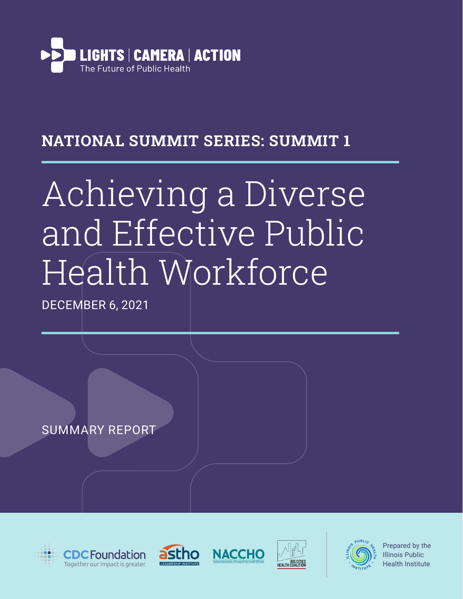

## NATIONAL SUMMIT SERIES: SUMMIT 1

# Achieving a Diverse and Effective Public Health Workforce

DECEMBER 6, 2021

SUMMARY REPORT











Prepared by the Illinois Public Health Institute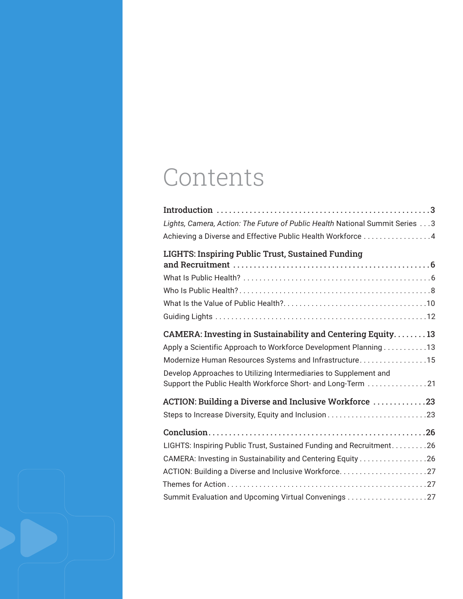## Contents

| Lights, Camera, Action: The Future of Public Health National Summit Series 3 |
|------------------------------------------------------------------------------|
| Achieving a Diverse and Effective Public Health Workforce 4                  |
| <b>LIGHTS: Inspiring Public Trust, Sustained Funding</b>                     |
|                                                                              |
|                                                                              |
|                                                                              |
|                                                                              |
|                                                                              |
| <b>CAMERA: Investing in Sustainability and Centering Equity13</b>            |
| Apply a Scientific Approach to Workforce Development Planning 13             |
| Modernize Human Resources Systems and Infrastructure15                       |
| Develop Approaches to Utilizing Intermediaries to Supplement and             |
| Support the Public Health Workforce Short- and Long-Term 21                  |
| ACTION: Building a Diverse and Inclusive Workforce 23                        |
|                                                                              |
|                                                                              |
| LIGHTS: Inspiring Public Trust, Sustained Funding and Recruitment26          |
|                                                                              |
|                                                                              |
|                                                                              |
|                                                                              |

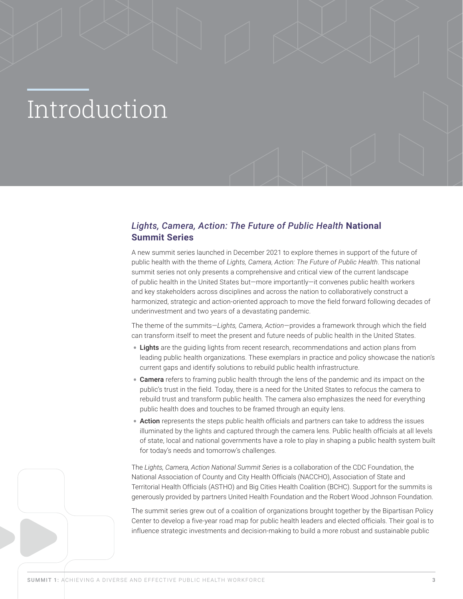# <span id="page-2-0"></span>Introduction

## *Lights, Camera, Action: The Future of Public Health* **National Summit Series**

A new summit series launched in December 2021 to explore themes in support of the future of public health with the theme of *Lights, Camera, Action: The Future of Public Health*. This national summit series not only presents a comprehensive and critical view of the current landscape of public health in the United States but—more importantly—it convenes public health workers and key stakeholders across disciplines and across the nation to collaboratively construct a harmonized, strategic and action-oriented approach to move the field forward following decades of underinvestment and two years of a devastating pandemic.

The theme of the summits—*Lights, Camera, Action*—provides a framework through which the field can transform itself to meet the present and future needs of public health in the United States.

- Lights are the quiding lights from recent research, recommendations and action plans from leading public health organizations. These exemplars in practice and policy showcase the nation's current gaps and identify solutions to rebuild public health infrastructure.
- Camera refers to framing public health through the lens of the pandemic and its impact on the public's trust in the field. Today, there is a need for the United States to refocus the camera to rebuild trust and transform public health. The camera also emphasizes the need for everything public health does and touches to be framed through an equity lens.
- Action represents the steps public health officials and partners can take to address the issues illuminated by the lights and captured through the camera lens. Public health officials at all levels of state, local and national governments have a role to play in shaping a public health system built for today's needs and tomorrow's challenges.

The *Lights, Camera, Action National Summit Series* is a collaboration of the CDC Foundation, the National Association of County and City Health Officials (NACCHO), Association of State and Territorial Health Officials (ASTHO) and Big Cities Health Coalition (BCHC). Support for the summits is generously provided by partners United Health Foundation and the Robert Wood Johnson Foundation.

The summit series grew out of a coalition of organizations brought together by the Bipartisan Policy Center to develop a five-year road map for public health leaders and elected officials. Their goal is to influence strategic investments and decision-making to build a more robust and sustainable public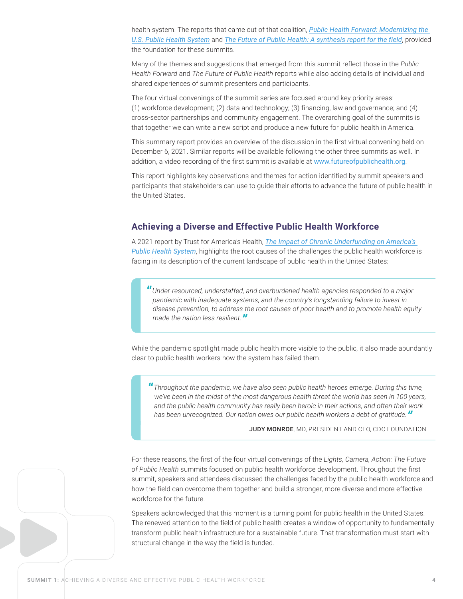health system. The reports that came out of that coalition, *[Public Health Forward: Modernizing the](https://bipartisanpolicy.org/report/public-health-forward/)  [U.S. Public Health System](https://bipartisanpolicy.org/report/public-health-forward/)* and *[The Future of Public Health: A synthesis report for the field](https://drive.google.com/file/d/1hkHkzxSHCDZR--XSMraedDMWkZ_HtSJ1/edit)*, provided the foundation for these summits.

Many of the themes and suggestions that emerged from this summit reflect those in the *Public Health Forward* and *The Future of Public Health* reports while also adding details of individual and shared experiences of summit presenters and participants.

The four virtual convenings of the summit series are focused around key priority areas: (1) workforce development; (2) data and technology; (3) financing, law and governance; and (4) cross-sector partnerships and community engagement. The overarching goal of the summits is that together we can write a new script and produce a new future for public health in America.

This summary report provides an overview of the discussion in the first virtual convening held on December 6, 2021. Similar reports will be available following the other three summits as well. In addition, a video recording of the first summit is available at [www.futureofpublichealth.org](https://futureofpublichealth.org).

This report highlights key observations and themes for action identified by summit speakers and participants that stakeholders can use to guide their efforts to advance the future of public health in the United States.

## <span id="page-3-0"></span>**Achieving a Diverse and Effective Public Health Workforce**

A 2021 report by Trust for America's Health, *[The Impact of Chronic Underfunding on America's](https://www.tfah.org/wp-content/uploads/2021/05/2021_PHFunding_Fnl.pdf)  [Public Health System](https://www.tfah.org/wp-content/uploads/2021/05/2021_PHFunding_Fnl.pdf)*, highlights the root causes of the challenges the public health workforce is facing in its description of the current landscape of public health in the United States:

**"***Under-resourced, understaffed, and overburdened health agencies responded to a major pandemic with inadequate systems, and the country's longstanding failure to invest in disease prevention, to address the root causes of poor health and to promote health equity made the nation less resilient."*

While the pandemic spotlight made public health more visible to the public, it also made abundantly clear to public health workers how the system has failed them.

**"***Throughout the pandemic, we have also seen public health heroes emerge. During this time, we've been in the midst of the most dangerous health threat the world has seen in 100 years, and the public health community has really been heroic in their actions, and often their work has been unrecognized. Our nation owes our public health workers a debt of gratitude."*

JUDY MONROE, MD, PRESIDENT AND CEO, CDC FOUNDATION

For these reasons, the first of the four virtual convenings of the *Lights, Camera, Action: The Future of Public Health* summits focused on public health workforce development. Throughout the first summit, speakers and attendees discussed the challenges faced by the public health workforce and how the field can overcome them together and build a stronger, more diverse and more effective workforce for the future.

Speakers acknowledged that this moment is a turning point for public health in the United States. The renewed attention to the field of public health creates a window of opportunity to fundamentally transform public health infrastructure for a sustainable future. That transformation must start with structural change in the way the field is funded.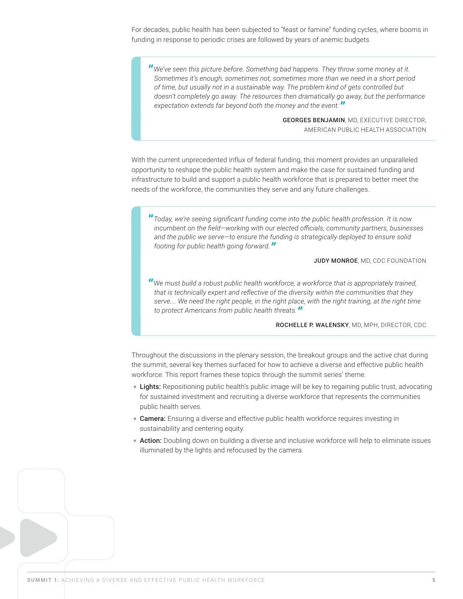For decades, public health has been subjected to "feast or famine" funding cycles, where booms in funding in response to periodic crises are followed by years of anemic budgets.

**"***We've seen this picture before. Something bad happens. They throw some money at it. Sometimes it's enough, sometimes not, sometimes more than we need in a short period of time, but usually not in a sustainable way. The problem kind of gets controlled but doesn't completely go away. The resources then dramatically go away, but the performance expectation extends far beyond both the money and the event."*

> GEORGES BENJAMIN, MD, EXECUTIVE DIRECTOR, AMERICAN PUBLIC HEALTH ASSOCIATION

With the current unprecedented influx of federal funding, this moment provides an unparalleled opportunity to reshape the public health system and make the case for sustained funding and infrastructure to build and support a public health workforce that is prepared to better meet the needs of the workforce, the communities they serve and any future challenges.

**"***Today, we're seeing significant funding come into the public health profession. It is now incumbent on the field—working with our elected officials, community partners, businesses and the public we serve—to ensure the funding is strategically deployed to ensure solid footing for public health going forward."*

#### JUDY MONROE, MD, CDC FOUNDATION

**"***We must build a robust public health workforce, a workforce that is appropriately trained, that is technically expert and reflective of the diversity within the communities that they serve…. We need the right people, in the right place, with the right training, at the right time to protect Americans from public health threats."*

#### ROCHELLE P. WALENSKY, MD, MPH, DIRECTOR, CDC

Throughout the discussions in the plenary session, the breakout groups and the active chat during the summit, several key themes surfaced for how to achieve a diverse and effective public health workforce. This report frames these topics through the summit series' theme.

- Lights: Repositioning public health's public image will be key to regaining public trust, advocating for sustained investment and recruiting a diverse workforce that represents the communities public health serves.
- Camera: Ensuring a diverse and effective public health workforce requires investing in sustainability and centering equity.
- Action: Doubling down on building a diverse and inclusive workforce will help to eliminate issues illuminated by the lights and refocused by the camera.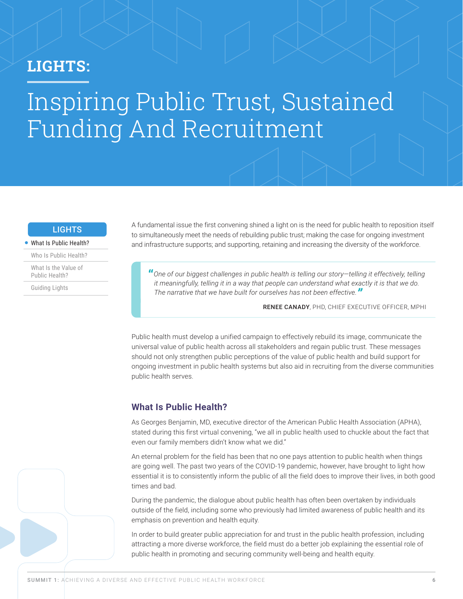## <span id="page-5-0"></span>LIGHTS:

## Inspiring Public Trust, Sustained Funding And Recruitment

## **LIGHTS**

#### [What Is Public Health?](#page-5-1)

[Who Is Public Health?](#page-7-1)

[What Is the Value of](#page-9-1)  [Public Health?](#page-9-1)

[Guiding Lights](#page-11-1)

A fundamental issue the first convening shined a light on is the need for public health to reposition itself to simultaneously meet the needs of rebuilding public trust; making the case for ongoing investment and infrastructure supports; and supporting, retaining and increasing the diversity of the workforce.

**"***One of our biggest challenges in public health is telling our story—telling it effectively, telling it meaningfully, telling it in a way that people can understand what exactly it is that we do. The narrative that we have built for ourselves has not been effective."*

RENEE CANADY, PHD, CHIEF EXECUTIVE OFFICER, MPHI

Public health must develop a unified campaign to effectively rebuild its image, communicate the universal value of public health across all stakeholders and regain public trust. These messages should not only strengthen public perceptions of the value of public health and build support for ongoing investment in public health systems but also aid in recruiting from the diverse communities public health serves.

### <span id="page-5-1"></span>**What Is Public Health?**

As Georges Benjamin, MD, executive director of the American Public Health Association (APHA), stated during this first virtual convening, "we all in public health used to chuckle about the fact that even our family members didn't know what we did."

An eternal problem for the field has been that no one pays attention to public health when things are going well. The past two years of the COVID-19 pandemic, however, have brought to light how essential it is to consistently inform the public of all the field does to improve their lives, in both good times and bad.

During the pandemic, the dialogue about public health has often been overtaken by individuals outside of the field, including some who previously had limited awareness of public health and its emphasis on prevention and health equity.

In order to build greater public appreciation for and trust in the public health profession, including attracting a more diverse workforce, the field must do a better job explaining the essential role of public health in promoting and securing community well-being and health equity.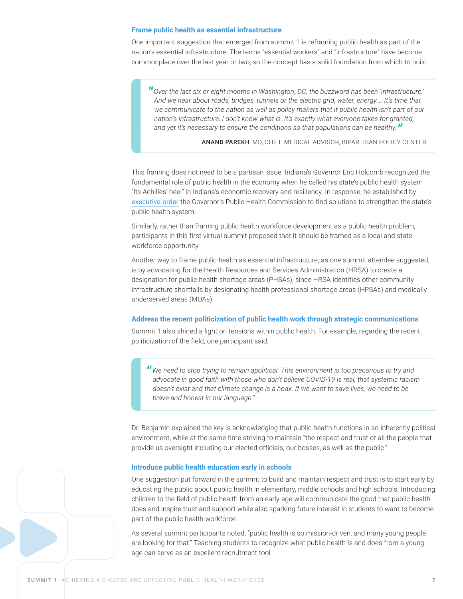#### **Frame public health as essential infrastructure**

One important suggestion that emerged from summit 1 is reframing public health as part of the nation's essential infrastructure. The terms "essential workers" and "infrastructure" have become commonplace over the last year or two, so the concept has a solid foundation from which to build.

**"***Over the last six or eight months in Washington, DC, the buzzword has been 'infrastructure.' And we hear about roads, bridges, tunnels or the electric grid, water, energy…. It's time that*  we communicate to the nation as well as policy makers that if public health isn't part of our *nation's infrastructure, I don't know what is. It's exactly what everyone takes for granted, and yet it's necessary to ensure the conditions so that populations can be healthy."*

ANAND PAREKH, MD, CHIEF MEDICAL ADVISOR, BIPARTISAN POLICY CENTER

This framing does not need to be a partisan issue. Indiana's Governor Eric Holcomb recognized the fundamental role of public health in the economy when he called his state's public health system "its Achilles' heel" in Indiana's economic recovery and resiliency. In response, he established by [executive order](https://www.in.gov/gov/files/Executive-Order-21-21-Governors-Public-Health-Commission.pdf) the Governor's Public Health Commission to find solutions to strengthen the state's public health system.

Similarly, rather than framing public health workforce development as a public health problem, participants in this first virtual summit proposed that it should be framed as a local and state workforce opportunity.

Another way to frame public health as essential infrastructure, as one summit attendee suggested, is by advocating for the Health Resources and Services Administration (HRSA) to create a designation for public health shortage areas (PHSAs), since HRSA identifies other community infrastructure shortfalls by designating health professional shortage areas (HPSAs) and medically underserved areas (MUAs).

#### **Address the recent politicization of public health work through strategic communications**

Summit 1 also shined a light on tensions within public health. For example, regarding the recent politicization of the field, one participant said:

**"***We need to stop trying to remain apolitical. This environment is too precarious to try and advocate in good faith with those who don't believe COVID-19 is real, that systemic racism doesn't exist and that climate change is a hoax. If we want to save lives, we need to be brave and honest in our language."* 

Dr. Benjamin explained the key is acknowledging that public health functions in an inherently political environment, while at the same time striving to maintain "the respect and trust of all the people that provide us oversight including our elected officials, our bosses, as well as the public."

#### **Introduce public health education early in schools**

One suggestion put forward in the summit to build and maintain respect and trust is to start early by educating the public about public health in elementary, middle schools and high schools. Introducing children to the field of public health from an early age will communicate the good that public health does and inspire trust and support while also sparking future interest in students to want to become part of the public health workforce.

As several summit participants noted, "public health is so mission-driven, and many young people are looking for that." Teaching students to recognize what public health is and does from a young age can serve as an excellent recruitment tool.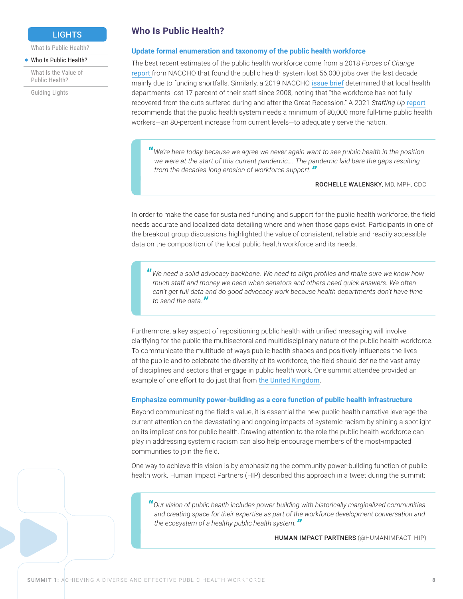## **LIGHTS**

<span id="page-7-0"></span>[What Is Public Health?](#page-5-1)

#### [Who Is Public Health?](#page-7-1)

[What Is the Value of](#page-9-1)  [Public Health?](#page-9-1)

[Guiding Lights](#page-11-1)

## <span id="page-7-1"></span>**Who Is Public Health?**

#### **Update formal enumeration and taxonomy of the public health workforce**

The best recent estimates of the public health workforce come from a 2018 *Forces of Change* [report](https://www.naccho.org/uploads/downloadable-resources/2018-Forces-of-Change-Main-Report.pdf) from NACCHO that found the public health system lost 56,000 jobs over the last decade, mainly due to funding shortfalls. Similarly, a 2019 NACCHO [issue brief](https://www.naccho.org/uploads/downloadable-resources/2019-Profile-Workforce-and-Finance-Capacity.pdf) determined that local health departments lost 17 percent of their staff since 2008, noting that "the workforce has not fully recovered from the cuts suffered during and after the Great Recession." A 2021 *Staffing Up* [report](https://debeaumont.org/wp-content/uploads/2021/10/Staffing-Up-FINAL.pdf) recommends that the public health system needs a minimum of 80,000 more full-time public health workers—an 80-percent increase from current levels—to adequately serve the nation.

**"***We're here today because we agree we never again want to see public health in the position we were at the start of this current pandemic…. The pandemic laid bare the gaps resulting from the decades-long erosion of workforce support."*

ROCHELLE WALENSKY, MD, MPH, CDC

In order to make the case for sustained funding and support for the public health workforce, the field needs accurate and localized data detailing where and when those gaps exist. Participants in one of the breakout group discussions highlighted the value of consistent, reliable and readily accessible data on the composition of the local public health workforce and its needs.

**"***We need a solid advocacy backbone. We need to align profiles and make sure we know how much staff and money we need when senators and others need quick answers. We often can't get full data and do good advocacy work because health departments don't have time to send the data."*

Furthermore, a key aspect of repositioning public health with unified messaging will involve clarifying for the public the multisectoral and multidisciplinary nature of the public health workforce. To communicate the multitude of ways public health shapes and positively influences the lives of the public and to celebrate the diversity of its workforce, the field should define the vast array of disciplines and sectors that engage in public health work. One summit attendee provided an example of one effort to do just that from [the United Kingdom](https://www.rsph.org.uk/our-work/policy/wider-public-health-workforce/rethinking-the-public-health-workforce.html).

#### **Emphasize community power-building as a core function of public health infrastructure**

Beyond communicating the field's value, it is essential the new public health narrative leverage the current attention on the devastating and ongoing impacts of systemic racism by shining a spotlight on its implications for public health. Drawing attention to the role the public health workforce can play in addressing systemic racism can also help encourage members of the most-impacted communities to join the field.

One way to achieve this vision is by emphasizing the community power-building function of public health work. Human Impact Partners (HIP) described this approach in a tweet during the summit:

**"***Our vision of public health includes power-building with historically marginalized communities and creating space for their expertise as part of the workforce development conversation and the ecosystem of a healthy public health system."*

HUMAN IMPACT PARTNERS (@HUMANIMPACT\_HIP)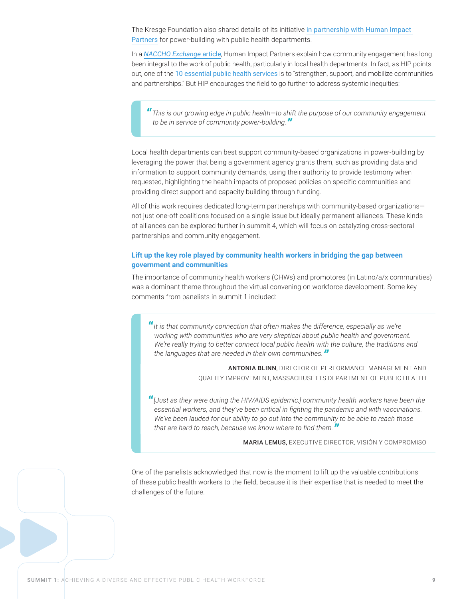The Kresge Foundation also shared details of its initiative [in partnership with Human Impact](https://kresge.org/news-views/new-health-program-focus-area-aims-to-strengthen-community-health-ecosystems/)  [Partners](https://kresge.org/news-views/new-health-program-focus-area-aims-to-strengthen-community-health-ecosystems/) for power-building with public health departments.

In a *[NACCHO Exchange](https://humanimpact.org/hipprojects/shifting-and-sharing-power-public-healths-charge-in-building-community-power/)* article, Human Impact Partners explain how community engagement has long been integral to the work of public health, particularly in local health departments. In fact, as HIP points out, one of the [10 essential public health services](https://www.cdc.gov/publichealthgateway/publichealthservices/essentialhealthservices.html) is to "strengthen, support, and mobilize communities and partnerships." But HIP encourages the field to go further to address systemic inequities:

**"***This is our growing edge in public health—to shift the purpose of our community engagement to be in service of community power-building."*

Local health departments can best support community-based organizations in power-building by leveraging the power that being a government agency grants them, such as providing data and information to support community demands, using their authority to provide testimony when requested, highlighting the health impacts of proposed policies on specific communities and providing direct support and capacity building through funding.

All of this work requires dedicated long-term partnerships with community-based organizations not just one-off coalitions focused on a single issue but ideally permanent alliances. These kinds of alliances can be explored further in summit 4, which will focus on catalyzing cross-sectoral partnerships and community engagement.

#### **Lift up the key role played by community health workers in bridging the gap between government and communities**

The importance of community health workers (CHWs) and promotores (in Latino/a/x communities) was a dominant theme throughout the virtual convening on workforce development. Some key comments from panelists in summit 1 included:

**"***It is that community connection that often makes the difference, especially as we're working with communities who are very skeptical about public health and government. We're really trying to better connect local public health with the culture, the traditions and the languages that are needed in their own communities."*

> ANTONIA BLINN, DIRECTOR OF PERFORMANCE MANAGEMENT AND QUALITY IMPROVEMENT, MASSACHUSETTS DEPARTMENT OF PUBLIC HEALTH

**"***[Just as they were during the HIV/AIDS epidemic,] community health workers have been the essential workers, and they've been critical in fighting the pandemic and with vaccinations. We've been lauded for our ability to go out into the community to be able to reach those that are hard to reach, because we know where to find them."*

MARIA LEMUS, EXECUTIVE DIRECTOR, VISIÓN Y COMPROMISO

One of the panelists acknowledged that now is the moment to lift up the valuable contributions of these public health workers to the field, because it is their expertise that is needed to meet the challenges of the future.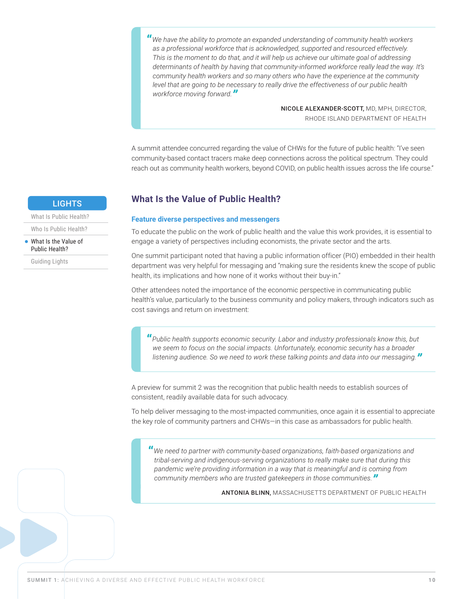<span id="page-9-0"></span>**"***We have the ability to promote an expanded understanding of community health workers as a professional workforce that is acknowledged, supported and resourced effectively. This is the moment to do that, and it will help us achieve our ultimate goal of addressing determinants of health by having that community-informed workforce really lead the way. It's community health workers and so many others who have the experience at the community level that are going to be necessary to really drive the effectiveness of our public health workforce moving forward."*

NICOLE ALEXANDER-SCOTT, MD, MPH, DIRECTOR, RHODE ISLAND DEPARTMENT OF HEALTH

A summit attendee concurred regarding the value of CHWs for the future of public health: "I've seen community-based contact tracers make deep connections across the political spectrum. They could reach out as community health workers, beyond COVID, on public health issues across the life course."

### <span id="page-9-1"></span>**What Is the Value of Public Health?**

#### **Feature diverse perspectives and messengers**

To educate the public on the work of public health and the value this work provides, it is essential to engage a variety of perspectives including economists, the private sector and the arts.

One summit participant noted that having a public information officer (PIO) embedded in their health department was very helpful for messaging and "making sure the residents knew the scope of public health, its implications and how none of it works without their buy-in."

Other attendees noted the importance of the economic perspective in communicating public health's value, particularly to the business community and policy makers, through indicators such as cost savings and return on investment:

**"***Public health supports economic security. Labor and industry professionals know this, but we seem to focus on the social impacts. Unfortunately, economic security has a broader listening audience. So we need to work these talking points and data into our messaging."*

A preview for summit 2 was the recognition that public health needs to establish sources of consistent, readily available data for such advocacy.

To help deliver messaging to the most-impacted communities, once again it is essential to appreciate the key role of community partners and CHWs—in this case as ambassadors for public health.

**"***We need to partner with community-based organizations, faith-based organizations and tribal-serving and indigenous-serving organizations to really make sure that during this pandemic we're providing information in a way that is meaningful and is coming from community members who are trusted gatekeepers in those communities."*

ANTONIA BLINN, MASSACHUSETTS DEPARTMENT OF PUBLIC HEALTH

#### **LIGHTS**

[What Is Public Health?](#page-5-1)

[Who Is Public Health?](#page-7-1)

[What Is the Value of](#page-9-1)  [Public Health?](#page-9-1)

[Guiding Lights](#page-11-1)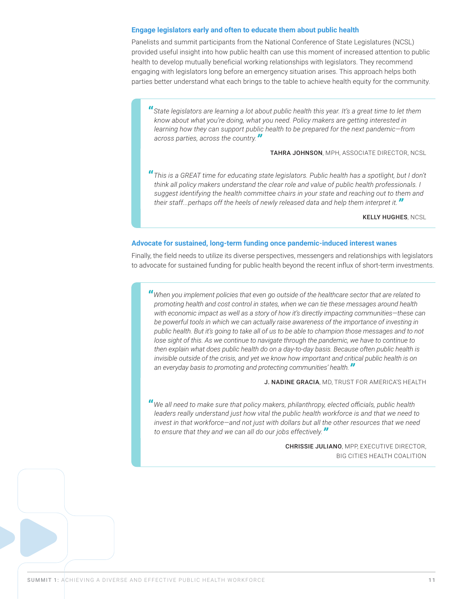#### **Engage legislators early and often to educate them about public health**

Panelists and summit participants from the National Conference of State Legislatures (NCSL) provided useful insight into how public health can use this moment of increased attention to public health to develop mutually beneficial working relationships with legislators. They recommend engaging with legislators long before an emergency situation arises. This approach helps both parties better understand what each brings to the table to achieve health equity for the community.

**"***State legislators are learning a lot about public health this year. It's a great time to let them know about what you're doing, what you need. Policy makers are getting interested in learning how they can support public health to be prepared for the next pandemic—from across parties, across the country."*

TAHRA JOHNSON, MPH, ASSOCIATE DIRECTOR, NCSL

**"***This is a GREAT time for educating state legislators. Public health has a spotlight, but I don't think all policy makers understand the clear role and value of public health professionals. I suggest identifying the health committee chairs in your state and reaching out to them and their staff...perhaps off the heels of newly released data and help them interpret it."*

**KELLY HUGHES, NCSL** 

#### **Advocate for sustained, long-term funding once pandemic-induced interest wanes**

Finally, the field needs to utilize its diverse perspectives, messengers and relationships with legislators to advocate for sustained funding for public health beyond the recent influx of short-term investments.

**"***When you implement policies that even go outside of the healthcare sector that are related to promoting health and cost control in states, when we can tie these messages around health with economic impact as well as a story of how it's directly impacting communities—these can*  be powerful tools in which we can actually raise awareness of the importance of investing in *public health. But it's going to take all of us to be able to champion those messages and to not lose sight of this. As we continue to navigate through the pandemic, we have to continue to then explain what does public health do on a day-to-day basis. Because often public health is invisible outside of the crisis, and yet we know how important and critical public health is on an everyday basis to promoting and protecting communities' health."*

J. NADINE GRACIA, MD, TRUST FOR AMERICA'S HEALTH

**"***We all need to make sure that policy makers, philanthropy, elected officials, public health leaders really understand just how vital the public health workforce is and that we need to invest in that workforce—and not just with dollars but all the other resources that we need to ensure that they and we can all do our jobs effectively."*

> CHRISSIE JULIANO, MPP, EXECUTIVE DIRECTOR, BIG CITIES HEALTH COALITION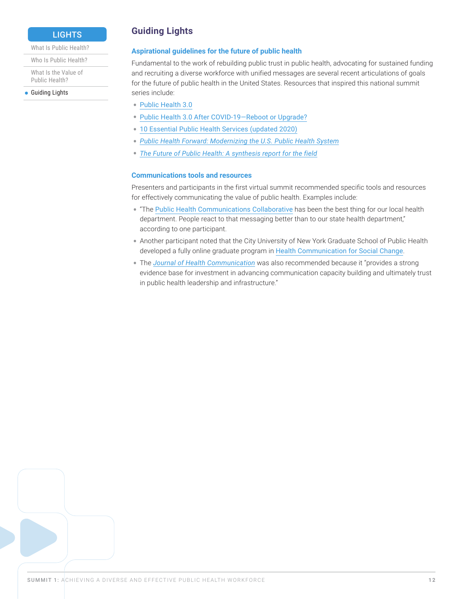### **LIGHTS**

#### <span id="page-11-0"></span>[What Is Public Health?](#page-5-1)

[Who Is Public Health?](#page-7-1)

[What Is the Value of](#page-9-1)  [Public Health?](#page-9-1)

**[Guiding Lights](#page-11-1)** 

## <span id="page-11-1"></span>**Guiding Lights**

#### **Aspirational guidelines for the future of public health**

Fundamental to the work of rebuilding public trust in public health, advocating for sustained funding and recruiting a diverse workforce with unified messages are several recent articulations of goals for the future of public health in the United States. Resources that inspired this national summit series include:

- [Public Health 3.0](https://www.healthypeople.gov/sites/default/files/Public-Health-3.0-White-Paper.pdf)
- [Public Health 3.0 After COVID-19—Reboot or Upgrade?](https://ajph.aphapublications.org/doi/epub/10.2105/AJPH.2021.306501)
- [10 Essential Public Health Services \(updated 2020\)](https://www.cdc.gov/publichealthgateway/publichealthservices/essentialhealthservices.html)
- *[Public Health Forward: Modernizing the U.S. Public Health System](https://bipartisanpolicy.org/report/public-health-forward/)*
- *[The Future of Public Health: A synthesis report for the field](https://drive.google.com/file/d/1hkHkzxSHCDZR--XSMraedDMWkZ_HtSJ1/edit)*

#### **Communications tools and resources**

Presenters and participants in the first virtual summit recommended specific tools and resources for effectively communicating the value of public health. Examples include:

- "The [Public Health Communications Collaborative](https://publichealthcollaborative.org) has been the best thing for our local health department. People react to that messaging better than to our state health department," according to one participant.
- Another participant noted that the City University of New York Graduate School of Public Health developed a fully online graduate program in [Health Communication for Social Change](https://sph.cuny.edu/academics/degrees-and-programs/masters-programs/ms-in-health-communication-for-social-change/).
- The *[Journal of Health Communication](https://www.tandfonline.com/journals/uhcm20)* was also recommended because it "provides a strong evidence base for investment in advancing communication capacity building and ultimately trust in public health leadership and infrastructure."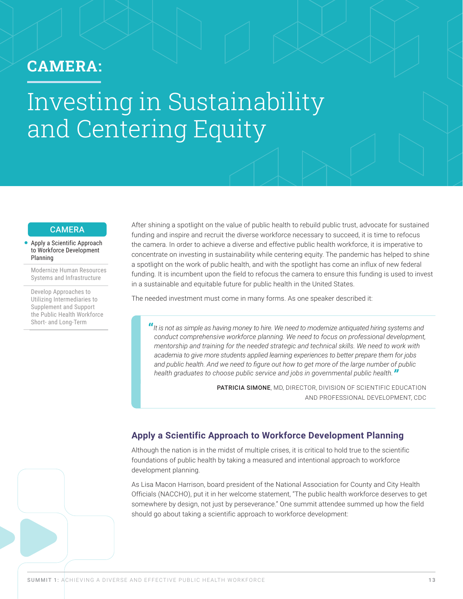## <span id="page-12-0"></span>CAMERA:

## Investing in Sustainability and Centering Equity

#### **CAMERA**

#### [Apply a Scientific Approach](#page-12-1)  [to Workforce Development](#page-12-1)  [Planning](#page-12-1)

[Modernize Human Resources](#page-14-1)  [Systems and Infrastructure](#page-14-1)

[Develop Approaches to](#page-20-1)  [Utilizing Intermediaries to](#page-20-1)  [Supplement and Support](#page-20-1)  [the Public Health Workforce](#page-20-1)  [Short- and Long-Term](#page-20-1)

After shining a spotlight on the value of public health to rebuild public trust, advocate for sustained funding and inspire and recruit the diverse workforce necessary to succeed, it is time to refocus the camera. In order to achieve a diverse and effective public health workforce, it is imperative to concentrate on investing in sustainability while centering equity. The pandemic has helped to shine a spotlight on the work of public health, and with the spotlight has come an influx of new federal funding. It is incumbent upon the field to refocus the camera to ensure this funding is used to invest in a sustainable and equitable future for public health in the United States.

The needed investment must come in many forms. As one speaker described it:

**"***It is not as simple as having money to hire. We need to modernize antiquated hiring systems and conduct comprehensive workforce planning. We need to focus on professional development, mentorship and training for the needed strategic and technical skills. We need to work with academia to give more students applied learning experiences to better prepare them for jobs and public health. And we need to figure out how to get more of the large number of public health graduates to choose public service and jobs in governmental public health."*

> PATRICIA SIMONE, MD, DIRECTOR, DIVISION OF SCIENTIFIC EDUCATION AND PROFESSIONAL DEVELOPMENT, CDC

## <span id="page-12-1"></span>**Apply a Scientific Approach to Workforce Development Planning**

Although the nation is in the midst of multiple crises, it is critical to hold true to the scientific foundations of public health by taking a measured and intentional approach to workforce development planning.

As Lisa Macon Harrison, board president of the National Association for County and City Health Officials (NACCHO), put it in her welcome statement, "The public health workforce deserves to get somewhere by design, not just by perseverance." One summit attendee summed up how the field should go about taking a scientific approach to workforce development: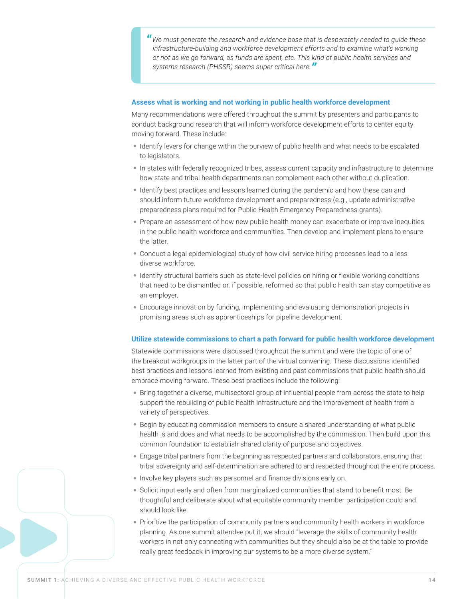**"***We must generate the research and evidence base that is desperately needed to guide these infrastructure-building and workforce development efforts and to examine what's working or not as we go forward, as funds are spent, etc. This kind of public health services and systems research (PHSSR) seems super critical here."*

#### **Assess what is working and not working in public health workforce development**

Many recommendations were offered throughout the summit by presenters and participants to conduct background research that will inform workforce development efforts to center equity moving forward. These include:

- Identify levers for change within the purview of public health and what needs to be escalated to legislators.
- In states with federally recognized tribes, assess current capacity and infrastructure to determine how state and tribal health departments can complement each other without duplication.
- Identify best practices and lessons learned during the pandemic and how these can and should inform future workforce development and preparedness (e.g., update administrative preparedness plans required for Public Health Emergency Preparedness grants).
- Prepare an assessment of how new public health money can exacerbate or improve inequities in the public health workforce and communities. Then develop and implement plans to ensure the latter.
- Conduct a legal epidemiological study of how civil service hiring processes lead to a less diverse workforce.
- Identify structural barriers such as state-level policies on hiring or flexible working conditions that need to be dismantled or, if possible, reformed so that public health can stay competitive as an employer.
- Encourage innovation by funding, implementing and evaluating demonstration projects in promising areas such as apprenticeships for pipeline development.

#### **Utilize statewide commissions to chart a path forward for public health workforce development**

Statewide commissions were discussed throughout the summit and were the topic of one of the breakout workgroups in the latter part of the virtual convening. These discussions identified best practices and lessons learned from existing and past commissions that public health should embrace moving forward. These best practices include the following:

- Bring together a diverse, multisectoral group of influential people from across the state to help support the rebuilding of public health infrastructure and the improvement of health from a variety of perspectives.
- Begin by educating commission members to ensure a shared understanding of what public health is and does and what needs to be accomplished by the commission. Then build upon this common foundation to establish shared clarity of purpose and objectives.
- Engage tribal partners from the beginning as respected partners and collaborators, ensuring that tribal sovereignty and self-determination are adhered to and respected throughout the entire process.
- Involve key players such as personnel and finance divisions early on.
- Solicit input early and often from marginalized communities that stand to benefit most. Be thoughtful and deliberate about what equitable community member participation could and should look like.
- Prioritize the participation of community partners and community health workers in workforce planning. As one summit attendee put it, we should "leverage the skills of community health workers in not only connecting with communities but they should also be at the table to provide really great feedback in improving our systems to be a more diverse system."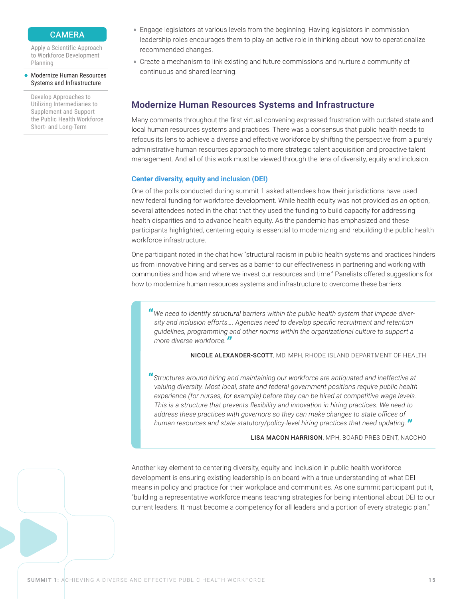#### **CAMERA**

<span id="page-14-0"></span>[Apply a Scientific Approach](#page-12-1)  [to Workforce Development](#page-12-1)  [Planning](#page-12-1)

#### [Modernize Human Resources](#page-14-1)  [Systems and Infrastructure](#page-14-1)

[Develop Approaches to](#page-20-1)  [Utilizing Intermediaries to](#page-20-1)  [Supplement and Support](#page-20-1)  [the Public Health Workforce](#page-20-1)  [Short- and Long-Term](#page-20-1)

- Engage legislators at various levels from the beginning. Having legislators in commission leadership roles encourages them to play an active role in thinking about how to operationalize recommended changes.
- Create a mechanism to link existing and future commissions and nurture a community of continuous and shared learning.

### <span id="page-14-1"></span>**Modernize Human Resources Systems and Infrastructure**

Many comments throughout the first virtual convening expressed frustration with outdated state and local human resources systems and practices. There was a consensus that public health needs to refocus its lens to achieve a diverse and effective workforce by shifting the perspective from a purely administrative human resources approach to more strategic talent acquisition and proactive talent management. And all of this work must be viewed through the lens of diversity, equity and inclusion.

#### **Center diversity, equity and inclusion (DEI)**

One of the polls conducted during summit 1 asked attendees how their jurisdictions have used new federal funding for workforce development. While health equity was not provided as an option, several attendees noted in the chat that they used the funding to build capacity for addressing health disparities and to advance health equity. As the pandemic has emphasized and these participants highlighted, centering equity is essential to modernizing and rebuilding the public health workforce infrastructure.

One participant noted in the chat how "structural racism in public health systems and practices hinders us from innovative hiring and serves as a barrier to our effectiveness in partnering and working with communities and how and where we invest our resources and time." Panelists offered suggestions for how to modernize human resources systems and infrastructure to overcome these barriers.

**"***We need to identify structural barriers within the public health system that impede diversity and inclusion efforts…. Agencies need to develop specific recruitment and retention guidelines, programming and other norms within the organizational culture to support a more diverse workforce."*

NICOLE ALEXANDER-SCOTT, MD, MPH, RHODE ISLAND DEPARTMENT OF HEALTH

**"***Structures around hiring and maintaining our workforce are antiquated and ineffective at valuing diversity. Most local, state and federal government positions require public health experience (for nurses, for example) before they can be hired at competitive wage levels. This is a structure that prevents flexibility and innovation in hiring practices. We need to address these practices with governors so they can make changes to state offices of human resources and state statutory/policy-level hiring practices that need updating."*

LISA MACON HARRISON, MPH, BOARD PRESIDENT, NACCHO

Another key element to centering diversity, equity and inclusion in public health workforce development is ensuring existing leadership is on board with a true understanding of what DEI means in policy and practice for their workplace and communities. As one summit participant put it, "building a representative workforce means teaching strategies for being intentional about DEI to our current leaders. It must become a competency for all leaders and a portion of every strategic plan."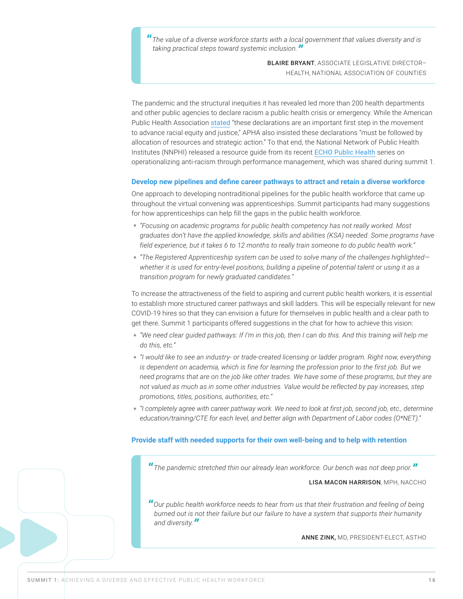**"***The value of a diverse workforce starts with a local government that values diversity and is taking practical steps toward systemic inclusion."*

> BLAIRE BRYANT, ASSOCIATE LEGISLATIVE DIRECTOR– HEALTH, NATIONAL ASSOCIATION OF COUNTIES

The pandemic and the structural inequities it has revealed led more than 200 health departments and other public agencies to declare racism a public health crisis or emergency. While the American Public Health Association [stated](https://www.apha.org/topics-and-issues/health-equity/racism-and-health/racism-declarations) "these declarations are an important first step in the movement to advance racial equity and justice," APHA also insisted these declarations "must be followed by allocation of resources and strategic action." To that end, the National Network of Public Health Institutes (NNPHI) released a resource guide from its recent [ECHO Public Health](https://nnphi.org/resource/resource-guide-operationalizing-anti-racism-social-justice-and-health-equity-principles-through-performance-improvement/) series on operationalizing anti-racism through performance management, which was shared during summit 1.

#### **Develop new pipelines and define career pathways to attract and retain a diverse workforce**

One approach to developing nontraditional pipelines for the public health workforce that came up throughout the virtual convening was apprenticeships. Summit participants had many suggestions for how apprenticeships can help fill the gaps in the public health workforce.

- *"Focusing on academic programs for public health competency has not really worked. Most graduates don't have the applied knowledge, skills and abilities (KSA) needed. Some programs have field experience, but it takes 6 to 12 months to really train someone to do public health work."*
- *"The Registered Apprenticeship system can be used to solve many of the challenges highlighted whether it is used for entry-level positions, building a pipeline of potential talent or using it as a transition program for newly graduated candidates."*

To increase the attractiveness of the field to aspiring and current public health workers, it is essential to establish more structured career pathways and skill ladders. This will be especially relevant for new COVID-19 hires so that they can envision a future for themselves in public health and a clear path to get there. Summit 1 participants offered suggestions in the chat for how to achieve this vision:

- *"We need clear guided pathways: If I'm in this job, then I can do this. And this training will help me do this, etc."*
- *"I would like to see an industry- or trade-created licensing or ladder program. Right now, everything is dependent on academia, which is fine for learning the profession prior to the first job. But we need programs that are on the job like other trades. We have some of these programs, but they are not valued as much as in some other industries. Value would be reflected by pay increases, step promotions, titles, positions, authorities, etc."*
- *"I completely agree with career pathway work. We need to look at first job, second job, etc., determine education/training/CTE for each level, and better align with Department of Labor codes (O\*NET)."*

#### **Provide staff with needed supports for their own well-being and to help with retention**

**"***The pandemic stretched thin our already lean workforce. Our bench was not deep prior."*

#### LISA MACON HARRISON, MPH, NACCHO

**"***Our public health workforce needs to hear from us that their frustration and feeling of being burned out is not their failure but our failure to have a system that supports their humanity and diversity."*

ANNE ZINK, MD, PRESIDENT-ELECT, ASTHO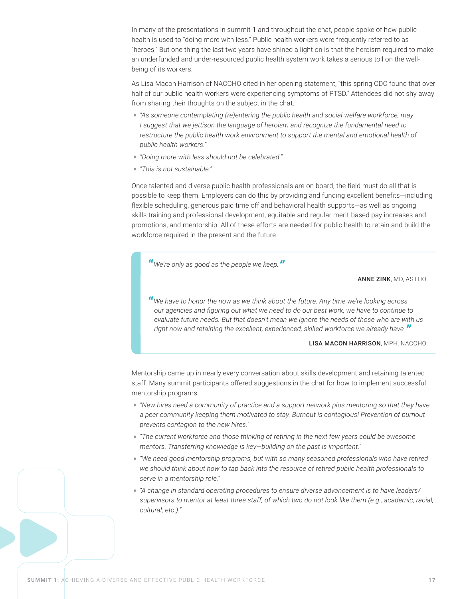In many of the presentations in summit 1 and throughout the chat, people spoke of how public health is used to "doing more with less." Public health workers were frequently referred to as "heroes." But one thing the last two years have shined a light on is that the heroism required to make an underfunded and under-resourced public health system work takes a serious toll on the wellbeing of its workers.

As Lisa Macon Harrison of NACCHO cited in her opening statement, "this spring CDC found that over half of our public health workers were experiencing symptoms of PTSD." Attendees did not shy away from sharing their thoughts on the subject in the chat.

- *"As someone contemplating (re)entering the public health and social welfare workforce, may I suggest that we jettison the language of heroism and recognize the fundamental need to restructure the public health work environment to support the mental and emotional health of public health workers."*
- *"Doing more with less should not be celebrated."*
- *"This is not sustainable."*

Once talented and diverse public health professionals are on board, the field must do all that is possible to keep them. Employers can do this by providing and funding excellent benefits—including flexible scheduling, generous paid time off and behavioral health supports—as well as ongoing skills training and professional development, equitable and regular merit-based pay increases and promotions, and mentorship. All of these efforts are needed for public health to retain and build the workforce required in the present and the future.

**"***We're only as good as the people we keep."*

#### ANNE ZINK, MD, ASTHO

**"***We have to honor the now as we think about the future. Any time we're looking across our agencies and figuring out what we need to do our best work, we have to continue to evaluate future needs. But that doesn't mean we ignore the needs of those who are with us right now and retaining the excellent, experienced, skilled workforce we already have."*

#### LISA MACON HARRISON, MPH, NACCHO

Mentorship came up in nearly every conversation about skills development and retaining talented staff. Many summit participants offered suggestions in the chat for how to implement successful mentorship programs.

- *"New hires need a community of practice and a support network plus mentoring so that they have a peer community keeping them motivated to stay. Burnout is contagious! Prevention of burnout prevents contagion to the new hires."*
- *"The current workforce and those thinking of retiring in the next few years could be awesome mentors. Transferring knowledge is key—building on the past is important."*
- *"We need good mentorship programs, but with so many seasoned professionals who have retired we should think about how to tap back into the resource of retired public health professionals to serve in a mentorship role."*
- *"A change in standard operating procedures to ensure diverse advancement is to have leaders/ supervisors to mentor at least three staff, of which two do not look like them (e.g., academic, racial, cultural, etc.)."*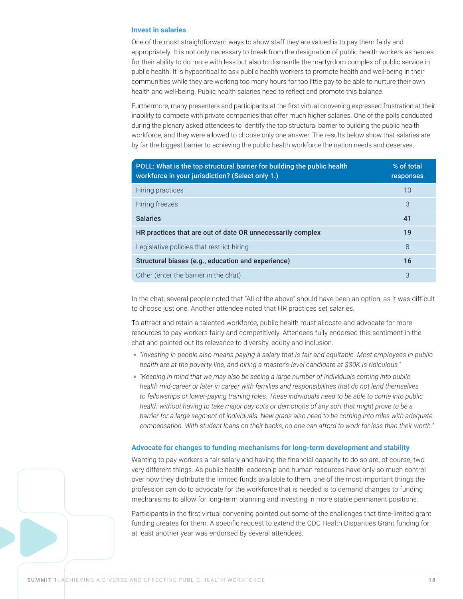#### **Invest in salaries**

One of the most straightforward ways to show staff they are valued is to pay them fairly and appropriately. It is not only necessary to break from the designation of public health workers as heroes for their ability to do more with less but also to dismantle the martyrdom complex of public service in public health. It is hypocritical to ask public health workers to promote health and well-being in their communities while they are working too many hours for too little pay to be able to nurture their own health and well-being. Public health salaries need to reflect and promote this balance.

Furthermore, many presenters and participants at the first virtual convening expressed frustration at their inability to compete with private companies that offer much higher salaries. One of the polls conducted during the plenary asked attendees to identify the top structural barrier to building the public health workforce, and they were allowed to choose only one answer. The results below show that salaries are by far the biggest barrier to achieving the public health workforce the nation needs and deserves.

| POLL: What is the top structural barrier for building the public health<br>workforce in your jurisdiction? (Select only 1.) | % of total<br>responses |
|-----------------------------------------------------------------------------------------------------------------------------|-------------------------|
| Hiring practices                                                                                                            | 10                      |
| Hiring freezes                                                                                                              | 3                       |
| <b>Salaries</b>                                                                                                             | 41                      |
| HR practices that are out of date OR unnecessarily complex                                                                  | 19                      |
| Legislative policies that restrict hiring                                                                                   | 8                       |
| Structural biases (e.g., education and experience)                                                                          | 16                      |
| Other (enter the barrier in the chat)                                                                                       | 3                       |

In the chat, several people noted that "All of the above" should have been an option, as it was difficult to choose just one. Another attendee noted that HR practices set salaries.

To attract and retain a talented workforce, public health must allocate and advocate for more resources to pay workers fairly and competitively. Attendees fully endorsed this sentiment in the chat and pointed out its relevance to diversity, equity and inclusion.

- *"Investing in people also means paying a salary that is fair and equitable. Most employees in public health are at the poverty line, and hiring a master's-level candidate at \$30K is ridiculous."*
- *"Keeping in mind that we may also be seeing a large number of individuals coming into public health mid-career or later in career with families and responsibilities that do not lend themselves to fellowships or lower-paying training roles. These individuals need to be able to come into public health without having to take major pay cuts or demotions of any sort that might prove to be a barrier for a large segment of individuals. New grads also need to be coming into roles with adequate compensation. With student loans on their backs, no one can afford to work for less than their worth."*

#### **Advocate for changes to funding mechanisms for long-term development and stability**

Wanting to pay workers a fair salary and having the financial capacity to do so are, of course, two very different things. As public health leadership and human resources have only so much control over how they distribute the limited funds available to them, one of the most important things the profession can do to advocate for the workforce that is needed is to demand changes to funding mechanisms to allow for long-term planning and investing in more stable permanent positions.

Participants in the first virtual convening pointed out some of the challenges that time-limited grant funding creates for them. A specific request to extend the CDC Health Disparities Grant funding for at least another year was endorsed by several attendees.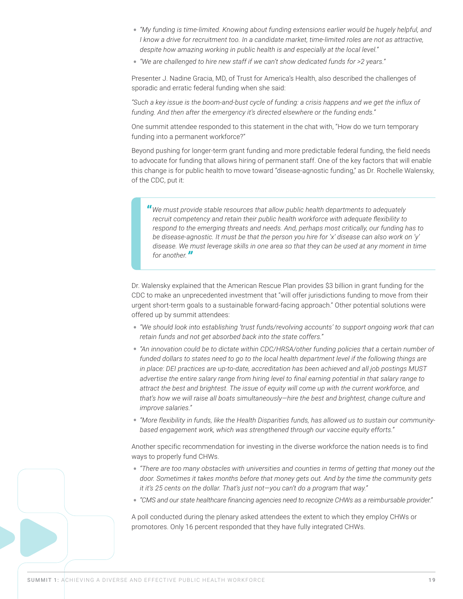- *"My funding is time-limited. Knowing about funding extensions earlier would be hugely helpful, and I know a drive for recruitment too. In a candidate market, time-limited roles are not as attractive, despite how amazing working in public health is and especially at the local level."*
- *"We are challenged to hire new staff if we can't show dedicated funds for >2 years."*

Presenter J. Nadine Gracia, MD, of Trust for America's Health, also described the challenges of sporadic and erratic federal funding when she said:

*"Such a key issue is the boom-and-bust cycle of funding: a crisis happens and we get the influx of funding. And then after the emergency it's directed elsewhere or the funding ends."* 

One summit attendee responded to this statement in the chat with, "How do we turn temporary funding into a permanent workforce?"

Beyond pushing for longer-term grant funding and more predictable federal funding, the field needs to advocate for funding that allows hiring of permanent staff. One of the key factors that will enable this change is for public health to move toward "disease-agnostic funding," as Dr. Rochelle Walensky, of the CDC, put it:

**"***We must provide stable resources that allow public health departments to adequately recruit competency and retain their public health workforce with adequate flexibility to respond to the emerging threats and needs. And, perhaps most critically, our funding has to be disease-agnostic. It must be that the person you hire for 'x' disease can also work on 'y' disease. We must leverage skills in one area so that they can be used at any moment in time for another."*

Dr. Walensky explained that the American Rescue Plan provides \$3 billion in grant funding for the CDC to make an unprecedented investment that "will offer jurisdictions funding to move from their urgent short-term goals to a sustainable forward-facing approach." Other potential solutions were offered up by summit attendees:

- *"We should look into establishing 'trust funds/revolving accounts' to support ongoing work that can retain funds and not get absorbed back into the state coffers."*
- *"An innovation could be to dictate within CDC/HRSA/other funding policies that a certain number of*  funded dollars to states need to go to the local health department level if the following things are *in place: DEI practices are up-to-date, accreditation has been achieved and all job postings MUST advertise the entire salary range from hiring level to final earning potential in that salary range to attract the best and brightest. The issue of equity will come up with the current workforce, and that's how we will raise all boats simultaneously—hire the best and brightest, change culture and improve salaries."*
- *"More flexibility in funds, like the Health Disparities funds, has allowed us to sustain our communitybased engagement work, which was strengthened through our vaccine equity efforts."*

Another specific recommendation for investing in the diverse workforce the nation needs is to find ways to properly fund CHWs.

- *"There are too many obstacles with universities and counties in terms of getting that money out the door. Sometimes it takes months before that money gets out. And by the time the community gets it it's 25 cents on the dollar. That's just not—you can't do a program that way."*
- *"CMS and our state healthcare financing agencies need to recognize CHWs as a reimbursable provider."*

A poll conducted during the plenary asked attendees the extent to which they employ CHWs or promotores. Only 16 percent responded that they have fully integrated CHWs.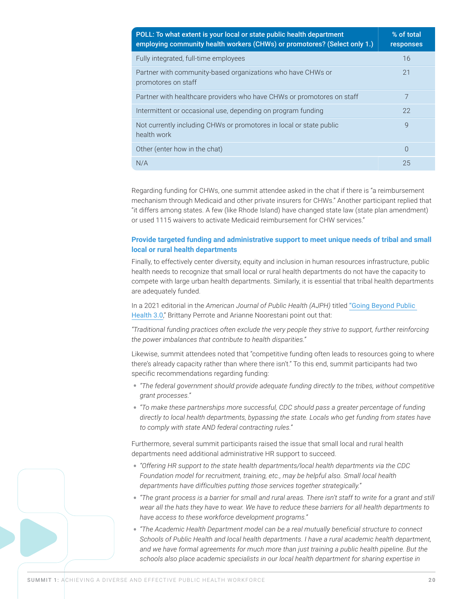| POLL: To what extent is your local or state public health department<br>employing community health workers (CHWs) or promotores? (Select only 1.) | % of total<br>responses |
|---------------------------------------------------------------------------------------------------------------------------------------------------|-------------------------|
| Fully integrated, full-time employees                                                                                                             | 16                      |
| Partner with community-based organizations who have CHWs or<br>promotores on staff                                                                | 21                      |
| Partner with healthcare providers who have CHWs or promotores on staff                                                                            | 7                       |
| Intermittent or occasional use, depending on program funding                                                                                      | 22                      |
| Not currently including CHWs or promotores in local or state public<br>health work                                                                | $\mathsf{Q}$            |
| Other (enter how in the chat)                                                                                                                     | $\Omega$                |
| N/A                                                                                                                                               | 25                      |

Regarding funding for CHWs, one summit attendee asked in the chat if there is "a reimbursement mechanism through Medicaid and other private insurers for CHWs." Another participant replied that "it differs among states. A few (like Rhode Island) have changed state law (state plan amendment) or used 1115 waivers to activate Medicaid reimbursement for CHW services."

#### **Provide targeted funding and administrative support to meet unique needs of tribal and small local or rural health departments**

Finally, to effectively center diversity, equity and inclusion in human resources infrastructure, public health needs to recognize that small local or rural health departments do not have the capacity to compete with large urban health departments. Similarly, it is essential that tribal health departments are adequately funded.

In a 2021 editorial in the *American Journal of Public Health (AJPH)* titled ["Going Beyond Public](https://ajph.aphapublications.org/doi/pdf/10.2105/AJPH.2021.306410)  [Health 3.0](https://ajph.aphapublications.org/doi/pdf/10.2105/AJPH.2021.306410)," Brittany Perrote and Arianne Noorestani point out that:

*"Traditional funding practices often exclude the very people they strive to support, further reinforcing the power imbalances that contribute to health disparities."*

Likewise, summit attendees noted that "competitive funding often leads to resources going to where there's already capacity rather than where there isn't." To this end, summit participants had two specific recommendations regarding funding:

- *"The federal government should provide adequate funding directly to the tribes, without competitive grant processes."*
- *"To make these partnerships more successful, CDC should pass a greater percentage of funding directly to local health departments, bypassing the state. Locals who get funding from states have to comply with state AND federal contracting rules."*

Furthermore, several summit participants raised the issue that small local and rural health departments need additional administrative HR support to succeed.

- *"Offering HR support to the state health departments/local health departments via the CDC Foundation model for recruitment, training, etc., may be helpful also. Small local health departments have difficulties putting those services together strategically."*
- *"The grant process is a barrier for small and rural areas. There isn't staff to write for a grant and still wear all the hats they have to wear. We have to reduce these barriers for all health departments to have access to these workforce development programs."*
- *"The Academic Health Department model can be a real mutually beneficial structure to connect Schools of Public Health and local health departments. I have a rural academic health department,*  and we have formal agreements for much more than just training a public health pipeline. But the *schools also place academic specialists in our local health department for sharing expertise in*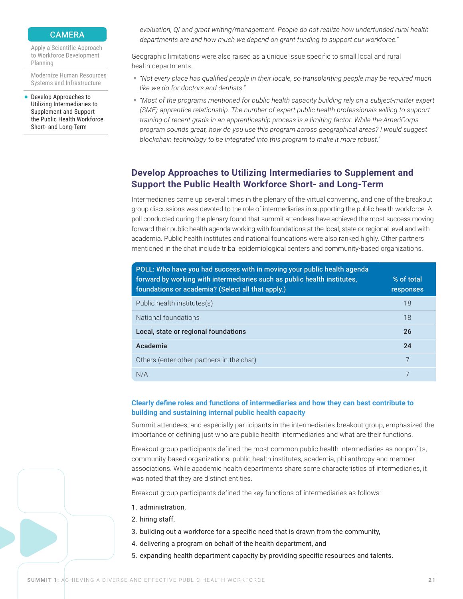#### **CAMERA**

<span id="page-20-0"></span>[Apply a Scientific Approach](#page-12-1)  [to Workforce Development](#page-12-1)  [Planning](#page-12-1)

[Modernize Human Resources](#page-14-1)  [Systems and Infrastructure](#page-14-1)

[Develop Approaches to](#page-20-1)  [Utilizing Intermediaries to](#page-20-1)  [Supplement and Support](#page-20-1)  [the Public Health Workforce](#page-20-1)  [Short- and Long-Term](#page-20-1)

*evaluation, QI and grant writing/management. People do not realize how underfunded rural health departments are and how much we depend on grant funding to support our workforce."* 

Geographic limitations were also raised as a unique issue specific to small local and rural health departments.

- *"Not every place has qualified people in their locale, so transplanting people may be required much like we do for doctors and dentists."*
- *"Most of the programs mentioned for public health capacity building rely on a subject-matter expert (SME)-apprentice relationship. The number of expert public health professionals willing to support training of recent grads in an apprenticeship process is a limiting factor. While the AmeriCorps program sounds great, how do you use this program across geographical areas? I would suggest blockchain technology to be integrated into this program to make it more robust."*

## <span id="page-20-1"></span>**Develop Approaches to Utilizing Intermediaries to Supplement and Support the Public Health Workforce Short- and Long-Term**

Intermediaries came up several times in the plenary of the virtual convening, and one of the breakout group discussions was devoted to the role of intermediaries in supporting the public health workforce. A poll conducted during the plenary found that summit attendees have achieved the most success moving forward their public health agenda working with foundations at the local, state or regional level and with academia. Public health institutes and national foundations were also ranked highly. Other partners mentioned in the chat include tribal epidemiological centers and community-based organizations.

| POLL: Who have you had success with in moving your public health agenda<br>forward by working with intermediaries such as public health institutes.<br>foundations or academia? (Select all that apply.) | % of total<br>responses |
|----------------------------------------------------------------------------------------------------------------------------------------------------------------------------------------------------------|-------------------------|
| Public health institutes(s)                                                                                                                                                                              | 18                      |
| National foundations                                                                                                                                                                                     | 18                      |
| Local, state or regional foundations                                                                                                                                                                     | 26                      |
| Academia                                                                                                                                                                                                 | 24                      |
| Others (enter other partners in the chat)                                                                                                                                                                | 7                       |
| N/A                                                                                                                                                                                                      |                         |

#### **Clearly define roles and functions of intermediaries and how they can best contribute to building and sustaining internal public health capacity**

Summit attendees, and especially participants in the intermediaries breakout group, emphasized the importance of defining just who are public health intermediaries and what are their functions.

Breakout group participants defined the most common public health intermediaries as nonprofits, community-based organizations, public health institutes, academia, philanthropy and member associations. While academic health departments share some characteristics of intermediaries, it was noted that they are distinct entities.

Breakout group participants defined the key functions of intermediaries as follows:

- 1. administration,
- 2. hiring staff,
- 3. building out a workforce for a specific need that is drawn from the community,
- 4. delivering a program on behalf of the health department, and
- 5. expanding health department capacity by providing specific resources and talents.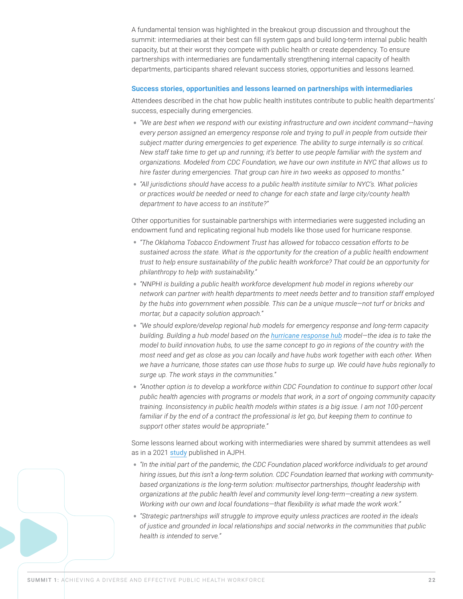A fundamental tension was highlighted in the breakout group discussion and throughout the summit: intermediaries at their best can fill system gaps and build long-term internal public health capacity, but at their worst they compete with public health or create dependency. To ensure partnerships with intermediaries are fundamentally strengthening internal capacity of health departments, participants shared relevant success stories, opportunities and lessons learned.

#### **Success stories, opportunities and lessons learned on partnerships with intermediaries**

Attendees described in the chat how public health institutes contribute to public health departments' success, especially during emergencies.

- *"We are best when we respond with our existing infrastructure and own incident command—having every person assigned an emergency response role and trying to pull in people from outside their subject matter during emergencies to get experience. The ability to surge internally is so critical. New staff take time to get up and running; it's better to use people familiar with the system and organizations. Modeled from CDC Foundation, we have our own institute in NYC that allows us to hire faster during emergencies. That group can hire in two weeks as opposed to months."*
- *"All jurisdictions should have access to a public health institute similar to NYC's. What policies or practices would be needed or need to change for each state and large city/county health department to have access to an institute?"*

Other opportunities for sustainable partnerships with intermediaries were suggested including an endowment fund and replicating regional hub models like those used for hurricane response.

- *"The Oklahoma Tobacco Endowment Trust has allowed for tobacco cessation efforts to be sustained across the state. What is the opportunity for the creation of a public health endowment trust to help ensure sustainability of the public health workforce? That could be an opportunity for philanthropy to help with sustainability."*
- *"NNPHI is building a public health workforce development hub model in regions whereby our network can partner with health departments to meet needs better and to transition staff employed by the hubs into government when possible. This can be a unique muscle—not turf or bricks and mortar, but a capacity solution approach."*
- *"We should explore/develop regional hub models for emergency response and long-term capacity building. Building a hub model based on the [hurricane response hub](https://nnphi.org/hurricane-response-hub/) model—the idea is to take the model to build innovation hubs, to use the same concept to go in regions of the country with the most need and get as close as you can locally and have hubs work together with each other. When we have a hurricane, those states can use those hubs to surge up. We could have hubs regionally to surge up. The work stays in the communities."*
- *"Another option is to develop a workforce within CDC Foundation to continue to support other local public health agencies with programs or models that work, in a sort of ongoing community capacity training. Inconsistency in public health models within states is a big issue. I am not 100-percent familiar if by the end of a contract the professional is let go, but keeping them to continue to support other states would be appropriate."*

Some lessons learned about working with intermediaries were shared by summit attendees as well as in a 2021 [study](https://ajph.aphapublications.org/doi/full/10.2105/AJPH.2021.306408) published in AJPH.

- *"In the initial part of the pandemic, the CDC Foundation placed workforce individuals to get around hiring issues, but this isn't a long-term solution. CDC Foundation learned that working with communitybased organizations is the long-term solution: multisector partnerships, thought leadership with organizations at the public health level and community level long-term—creating a new system. Working with our own and local foundations—that flexibility is what made the work work."*
- *"Strategic partnerships will struggle to improve equity unless practices are rooted in the ideals of justice and grounded in local relationships and social networks in the communities that public health is intended to serve."*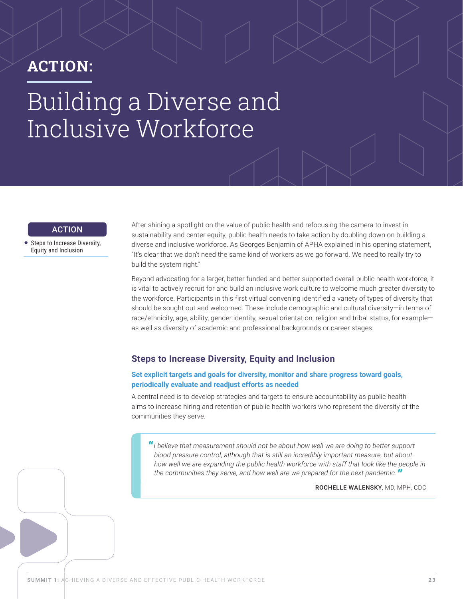# <span id="page-22-0"></span>ACTION: Building a Diverse and Inclusive Workforce

### ACTION

• Steps to Increase Diversity, [Equity and Inclusion](#page-22-1)

After shining a spotlight on the value of public health and refocusing the camera to invest in sustainability and center equity, public health needs to take action by doubling down on building a diverse and inclusive workforce. As Georges Benjamin of APHA explained in his opening statement, "It's clear that we don't need the same kind of workers as we go forward. We need to really try to build the system right."

Beyond advocating for a larger, better funded and better supported overall public health workforce, it is vital to actively recruit for and build an inclusive work culture to welcome much greater diversity to the workforce. Participants in this first virtual convening identified a variety of types of diversity that should be sought out and welcomed. These include demographic and cultural diversity—in terms of race/ethnicity, age, ability, gender identity, sexual orientation, religion and tribal status, for example as well as diversity of academic and professional backgrounds or career stages.

## <span id="page-22-1"></span>**Steps to Increase Diversity, Equity and Inclusion**

**Set explicit targets and goals for diversity, monitor and share progress toward goals, periodically evaluate and readjust efforts as needed**

A central need is to develop strategies and targets to ensure accountability as public health aims to increase hiring and retention of public health workers who represent the diversity of the communities they serve.

**"***I believe that measurement should not be about how well we are doing to better support blood pressure control, although that is still an incredibly important measure, but about how well we are expanding the public health workforce with staff that look like the people in the communities they serve, and how well are we prepared for the next pandemic."*

ROCHELLE WALENSKY, MD, MPH, CDC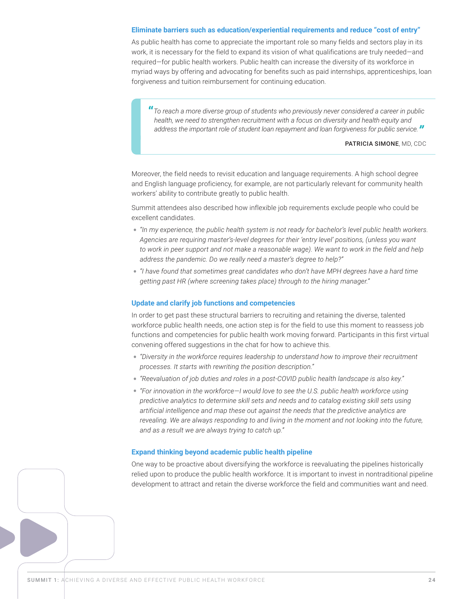#### **Eliminate barriers such as education/experiential requirements and reduce "cost of entry"**

As public health has come to appreciate the important role so many fields and sectors play in its work, it is necessary for the field to expand its vision of what qualifications are truly needed—and required—for public health workers. Public health can increase the diversity of its workforce in myriad ways by offering and advocating for benefits such as paid internships, apprenticeships, loan forgiveness and tuition reimbursement for continuing education.

**"***To reach a more diverse group of students who previously never considered a career in public health, we need to strengthen recruitment with a focus on diversity and health equity and address the important role of student loan repayment and loan forgiveness for public service."*

#### PATRICIA SIMONE, MD, CDC

Moreover, the field needs to revisit education and language requirements. A high school degree and English language proficiency, for example, are not particularly relevant for community health workers' ability to contribute greatly to public health.

Summit attendees also described how inflexible job requirements exclude people who could be excellent candidates.

- *"In my experience, the public health system is not ready for bachelor's level public health workers. Agencies are requiring master's-level degrees for their 'entry level' positions, (unless you want*  to work in peer support and not make a reasonable wage). We want to work in the field and help *address the pandemic. Do we really need a master's degree to help?"*
- *"I have found that sometimes great candidates who don't have MPH degrees have a hard time getting past HR (where screening takes place) through to the hiring manager."*

#### **Update and clarify job functions and competencies**

In order to get past these structural barriers to recruiting and retaining the diverse, talented workforce public health needs, one action step is for the field to use this moment to reassess job functions and competencies for public health work moving forward. Participants in this first virtual convening offered suggestions in the chat for how to achieve this.

- *"Diversity in the workforce requires leadership to understand how to improve their recruitment processes. It starts with rewriting the position description."*
- *"Reevaluation of job duties and roles in a post-COVID public health landscape is also key."*
- *"For innovation in the workforce—I would love to see the U.S. public health workforce using predictive analytics to determine skill sets and needs and to catalog existing skill sets using artificial intelligence and map these out against the needs that the predictive analytics are revealing. We are always responding to and living in the moment and not looking into the future, and as a result we are always trying to catch up."*

#### **Expand thinking beyond academic public health pipeline**

One way to be proactive about diversifying the workforce is reevaluating the pipelines historically relied upon to produce the public health workforce. It is important to invest in nontraditional pipeline development to attract and retain the diverse workforce the field and communities want and need.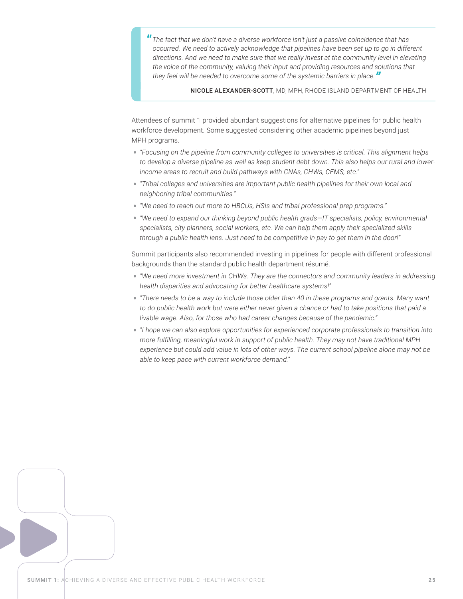**"***The fact that we don't have a diverse workforce isn't just a passive coincidence that has occurred. We need to actively acknowledge that pipelines have been set up to go in different directions. And we need to make sure that we really invest at the community level in elevating the voice of the community, valuing their input and providing resources and solutions that they feel will be needed to overcome some of the systemic barriers in place."*

NICOLE ALEXANDER-SCOTT, MD, MPH, RHODE ISLAND DEPARTMENT OF HEALTH

Attendees of summit 1 provided abundant suggestions for alternative pipelines for public health workforce development. Some suggested considering other academic pipelines beyond just MPH programs.

- *"Focusing on the pipeline from community colleges to universities is critical. This alignment helps to develop a diverse pipeline as well as keep student debt down. This also helps our rural and lowerincome areas to recruit and build pathways with CNAs, CHWs, CEMS, etc."*
- *"Tribal colleges and universities are important public health pipelines for their own local and neighboring tribal communities."*
- *"We need to reach out more to HBCUs, HSIs and tribal professional prep programs."*
- *"We need to expand our thinking beyond public health grads—IT specialists, policy, environmental specialists, city planners, social workers, etc. We can help them apply their specialized skills through a public health lens. Just need to be competitive in pay to get them in the door!"*

Summit participants also recommended investing in pipelines for people with different professional backgrounds than the standard public health department résumé.

- *"We need more investment in CHWs. They are the connectors and community leaders in addressing health disparities and advocating for better healthcare systems!"*
- *"There needs to be a way to include those older than 40 in these programs and grants. Many want to do public health work but were either never given a chance or had to take positions that paid a livable wage. Also, for those who had career changes because of the pandemic."*
- *"I hope we can also explore opportunities for experienced corporate professionals to transition into more fulfilling, meaningful work in support of public health. They may not have traditional MPH experience but could add value in lots of other ways. The current school pipeline alone may not be able to keep pace with current workforce demand."*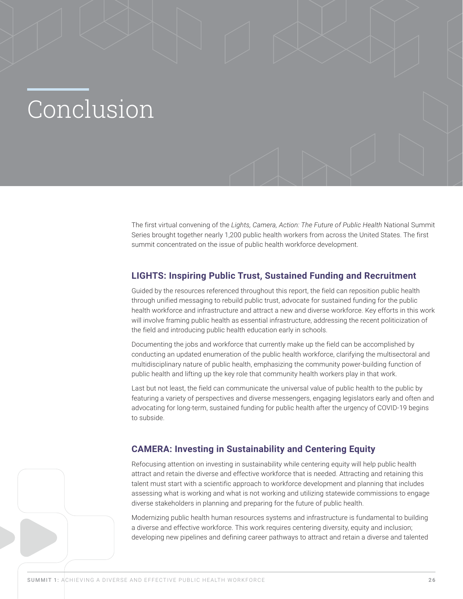# <span id="page-25-0"></span>Conclusion

The first virtual convening of the *Lights, Camera, Action: The Future of Public Health* National Summit Series brought together nearly 1,200 public health workers from across the United States. The first summit concentrated on the issue of public health workforce development.

## **LIGHTS: Inspiring Public Trust, Sustained Funding and Recruitment**

Guided by the resources referenced throughout this report, the field can reposition public health through unified messaging to rebuild public trust, advocate for sustained funding for the public health workforce and infrastructure and attract a new and diverse workforce. Key efforts in this work will involve framing public health as essential infrastructure, addressing the recent politicization of the field and introducing public health education early in schools.

Documenting the jobs and workforce that currently make up the field can be accomplished by conducting an updated enumeration of the public health workforce, clarifying the multisectoral and multidisciplinary nature of public health, emphasizing the community power-building function of public health and lifting up the key role that community health workers play in that work.

Last but not least, the field can communicate the universal value of public health to the public by featuring a variety of perspectives and diverse messengers, engaging legislators early and often and advocating for long-term, sustained funding for public health after the urgency of COVID-19 begins to subside.

## **CAMERA: Investing in Sustainability and Centering Equity**

Refocusing attention on investing in sustainability while centering equity will help public health attract and retain the diverse and effective workforce that is needed. Attracting and retaining this talent must start with a scientific approach to workforce development and planning that includes assessing what is working and what is not working and utilizing statewide commissions to engage diverse stakeholders in planning and preparing for the future of public health.

Modernizing public health human resources systems and infrastructure is fundamental to building a diverse and effective workforce. This work requires centering diversity, equity and inclusion; developing new pipelines and defining career pathways to attract and retain a diverse and talented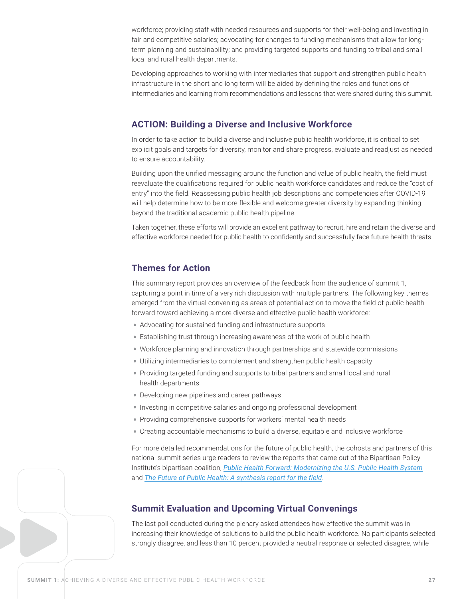<span id="page-26-0"></span>workforce; providing staff with needed resources and supports for their well-being and investing in fair and competitive salaries; advocating for changes to funding mechanisms that allow for longterm planning and sustainability; and providing targeted supports and funding to tribal and small local and rural health departments.

Developing approaches to working with intermediaries that support and strengthen public health infrastructure in the short and long term will be aided by defining the roles and functions of intermediaries and learning from recommendations and lessons that were shared during this summit.

## **ACTION: Building a Diverse and Inclusive Workforce**

In order to take action to build a diverse and inclusive public health workforce, it is critical to set explicit goals and targets for diversity, monitor and share progress, evaluate and readjust as needed to ensure accountability.

Building upon the unified messaging around the function and value of public health, the field must reevaluate the qualifications required for public health workforce candidates and reduce the "cost of entry" into the field. Reassessing public health job descriptions and competencies after COVID-19 will help determine how to be more flexible and welcome greater diversity by expanding thinking beyond the traditional academic public health pipeline.

Taken together, these efforts will provide an excellent pathway to recruit, hire and retain the diverse and effective workforce needed for public health to confidently and successfully face future health threats.

## **Themes for Action**

This summary report provides an overview of the feedback from the audience of summit 1, capturing a point in time of a very rich discussion with multiple partners. The following key themes emerged from the virtual convening as areas of potential action to move the field of public health forward toward achieving a more diverse and effective public health workforce:

- Advocating for sustained funding and infrastructure supports
- Establishing trust through increasing awareness of the work of public health
- Workforce planning and innovation through partnerships and statewide commissions
- Utilizing intermediaries to complement and strengthen public health capacity
- Providing targeted funding and supports to tribal partners and small local and rural health departments
- Developing new pipelines and career pathways
- Investing in competitive salaries and ongoing professional development
- Providing comprehensive supports for workers' mental health needs
- Creating accountable mechanisms to build a diverse, equitable and inclusive workforce

For more detailed recommendations for the future of public health, the cohosts and partners of this national summit series urge readers to review the reports that came out of the Bipartisan Policy Institute's bipartisan coalition, *[Public Health Forward: Modernizing the U.S. Public Health System](https://bipartisanpolicy.org/report/public-health-forward/)* and *[The Future of Public Health: A synthesis report for the field](https://drive.google.com/file/d/1hkHkzxSHCDZR--XSMraedDMWkZ_HtSJ1/edit)*.

### **Summit Evaluation and Upcoming Virtual Convenings**

The last poll conducted during the plenary asked attendees how effective the summit was in increasing their knowledge of solutions to build the public health workforce. No participants selected strongly disagree, and less than 10 percent provided a neutral response or selected disagree, while